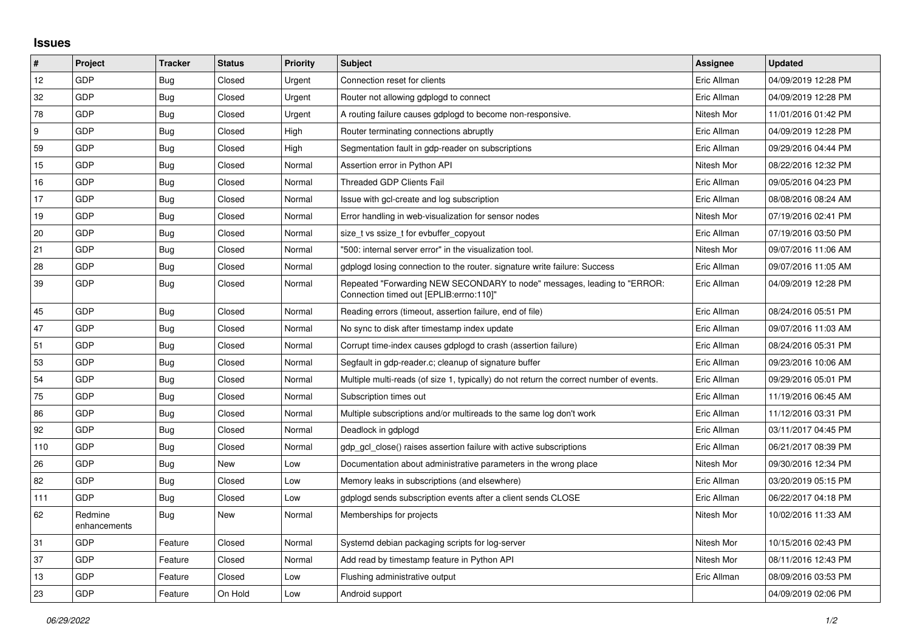## **Issues**

| ∦   | Project                 | <b>Tracker</b> | <b>Status</b> | Priority | <b>Subject</b>                                                                                                      | <b>Assignee</b> | <b>Updated</b>      |
|-----|-------------------------|----------------|---------------|----------|---------------------------------------------------------------------------------------------------------------------|-----------------|---------------------|
| 12  | GDP                     | Bug            | Closed        | Urgent   | Connection reset for clients                                                                                        | Eric Allman     | 04/09/2019 12:28 PM |
| 32  | GDP                     | Bug            | Closed        | Urgent   | Router not allowing gdplogd to connect                                                                              | Eric Allman     | 04/09/2019 12:28 PM |
| 78  | GDP                     | <b>Bug</b>     | Closed        | Urgent   | A routing failure causes gdplogd to become non-responsive.                                                          | Nitesh Mor      | 11/01/2016 01:42 PM |
| 9   | GDP                     | <b>Bug</b>     | Closed        | High     | Router terminating connections abruptly                                                                             | Eric Allman     | 04/09/2019 12:28 PM |
| 59  | GDP                     | <b>Bug</b>     | Closed        | High     | Segmentation fault in gdp-reader on subscriptions                                                                   | Eric Allman     | 09/29/2016 04:44 PM |
| 15  | GDP                     | Bug            | Closed        | Normal   | Assertion error in Python API                                                                                       | Nitesh Mor      | 08/22/2016 12:32 PM |
| 16  | GDP                     | Bug            | Closed        | Normal   | <b>Threaded GDP Clients Fail</b>                                                                                    | Eric Allman     | 09/05/2016 04:23 PM |
| 17  | GDP                     | <b>Bug</b>     | Closed        | Normal   | Issue with gcl-create and log subscription                                                                          | Eric Allman     | 08/08/2016 08:24 AM |
| 19  | GDP                     | <b>Bug</b>     | Closed        | Normal   | Error handling in web-visualization for sensor nodes                                                                | Nitesh Mor      | 07/19/2016 02:41 PM |
| 20  | GDP                     | Bug            | Closed        | Normal   | size_t vs ssize_t for evbuffer_copyout                                                                              | Eric Allman     | 07/19/2016 03:50 PM |
| 21  | GDP                     | Bug            | Closed        | Normal   | "500: internal server error" in the visualization tool.                                                             | Nitesh Mor      | 09/07/2016 11:06 AM |
| 28  | GDP                     | <b>Bug</b>     | Closed        | Normal   | gdplogd losing connection to the router, signature write failure: Success                                           | Eric Allman     | 09/07/2016 11:05 AM |
| 39  | GDP                     | <b>Bug</b>     | Closed        | Normal   | Repeated "Forwarding NEW SECONDARY to node" messages, leading to "ERROR:<br>Connection timed out [EPLIB:errno:110]" | Eric Allman     | 04/09/2019 12:28 PM |
| 45  | GDP                     | Bug            | Closed        | Normal   | Reading errors (timeout, assertion failure, end of file)                                                            | Eric Allman     | 08/24/2016 05:51 PM |
| 47  | GDP                     | <b>Bug</b>     | Closed        | Normal   | No sync to disk after timestamp index update                                                                        | Eric Allman     | 09/07/2016 11:03 AM |
| 51  | GDP                     | <b>Bug</b>     | Closed        | Normal   | Corrupt time-index causes gdplogd to crash (assertion failure)                                                      | Eric Allman     | 08/24/2016 05:31 PM |
| 53  | GDP                     | <b>Bug</b>     | Closed        | Normal   | Segfault in gdp-reader.c; cleanup of signature buffer                                                               | Eric Allman     | 09/23/2016 10:06 AM |
| 54  | GDP                     | Bug            | Closed        | Normal   | Multiple multi-reads (of size 1, typically) do not return the correct number of events.                             | Eric Allman     | 09/29/2016 05:01 PM |
| 75  | GDP                     | <b>Bug</b>     | Closed        | Normal   | Subscription times out                                                                                              | Eric Allman     | 11/19/2016 06:45 AM |
| 86  | GDP                     | Bug            | Closed        | Normal   | Multiple subscriptions and/or multireads to the same log don't work                                                 | Eric Allman     | 11/12/2016 03:31 PM |
| 92  | GDP                     | Bug            | Closed        | Normal   | Deadlock in gdplogd                                                                                                 | Eric Allman     | 03/11/2017 04:45 PM |
| 110 | GDP                     | Bug            | Closed        | Normal   | gdp gcl close() raises assertion failure with active subscriptions                                                  | Eric Allman     | 06/21/2017 08:39 PM |
| 26  | GDP                     | <b>Bug</b>     | New           | Low      | Documentation about administrative parameters in the wrong place                                                    | Nitesh Mor      | 09/30/2016 12:34 PM |
| 82  | GDP                     | Bug            | Closed        | Low      | Memory leaks in subscriptions (and elsewhere)                                                                       | Eric Allman     | 03/20/2019 05:15 PM |
| 111 | GDP                     | <b>Bug</b>     | Closed        | Low      | gdplogd sends subscription events after a client sends CLOSE                                                        | Eric Allman     | 06/22/2017 04:18 PM |
| 62  | Redmine<br>enhancements | Bug            | New           | Normal   | Memberships for projects                                                                                            | Nitesh Mor      | 10/02/2016 11:33 AM |
| 31  | GDP                     | Feature        | Closed        | Normal   | Systemd debian packaging scripts for log-server                                                                     | Nitesh Mor      | 10/15/2016 02:43 PM |
| 37  | <b>GDP</b>              | Feature        | Closed        | Normal   | Add read by timestamp feature in Python API                                                                         | Nitesh Mor      | 08/11/2016 12:43 PM |
| 13  | GDP                     | Feature        | Closed        | Low      | Flushing administrative output                                                                                      | Eric Allman     | 08/09/2016 03:53 PM |
| 23  | GDP                     | Feature        | On Hold       | Low      | Android support                                                                                                     |                 | 04/09/2019 02:06 PM |